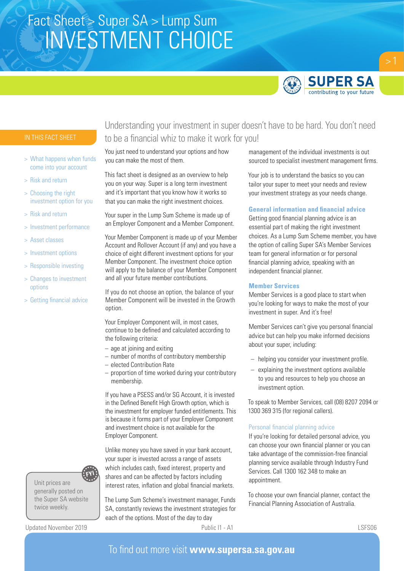

- > What happens when funds come into your account
- > Risk and return
- > Choosing the right investment option for you
- > Risk and return
- > Investment performance
- > Asset classes
- > Investment options
- > Responsible investing
- > Changes to investment options
- > Getting financial advice



Unit prices are generally posted on the Super SA website twice weekly.

Updated November 2019 **Public I1 - A1** Public I1 - A1 **Public I1 - A1** LSFS06

## Understanding your investment in super doesn't have to be hard. You don't need to be a financial whiz to make it work for you!

You just need to understand your options and how you can make the most of them.

This fact sheet is designed as an overview to help you on your way. Super is a long term investment and it's important that you know how it works so that you can make the right investment choices.

Your super in the Lump Sum Scheme is made up of an Employer Component and a Member Component.

Your Member Component is made up of your Member Account and Rollover Account (if any) and you have a choice of eight different investment options for your Member Component. The investment choice option will apply to the balance of your Member Component and all your future member contributions.

If you do not choose an option, the balance of your Member Component will be invested in the Growth option.

Your Employer Component will, in most cases, continue to be defined and calculated according to the following criteria:

- age at joining and exiting
- number of months of contributory membership
- elected Contribution Rate
- proportion of time worked during your contributory membership.

If you have a PSESS and/or SG Account, it is invested in the Defined Benefit High Growth option, which is the investment for employer funded entitlements. This is because it forms part of your Employer Component and investment choice is not available for the Employer Component.

Unlike money you have saved in your bank account, your super is invested across a range of assets which includes cash, fixed interest, property and shares and can be affected by factors including interest rates, inflation and global financial markets.

The Lump Sum Scheme's investment manager, Funds SA, constantly reviews the investment strategies for each of the options. Most of the day to day

management of the individual investments is out sourced to specialist investment management firms.

Your job is to understand the basics so you can tailor your super to meet your needs and review your investment strategy as your needs change.

### **General information and financial advice**

Getting good financial planning advice is an essential part of making the right investment choices. As a Lump Sum Scheme member, you have the option of calling Super SA's Member Services team for general information or for personal financial planning advice, speaking with an independent financial planner.

### **Member Services**

Member Services is a good place to start when you're looking for ways to make the most of your investment in super. And it's free!

Member Services can't give you personal financial advice but can help you make informed decisions about your super, including:

- helping you consider your investment profile.
- explaining the investment options available to you and resources to help you choose an investment option.

To speak to Member Services, call (08) 8207 2094 or 1300 369 315 (for regional callers).

### Personal financial planning advice

If you're looking for detailed personal advice, you can choose your own financial planner or you can take advantage of the commission-free financial planning service available through Industry Fund Services. Call 1300 162 348 to make an appointment.

To choose your own financial planner, contact the Financial Planning Association of Australia.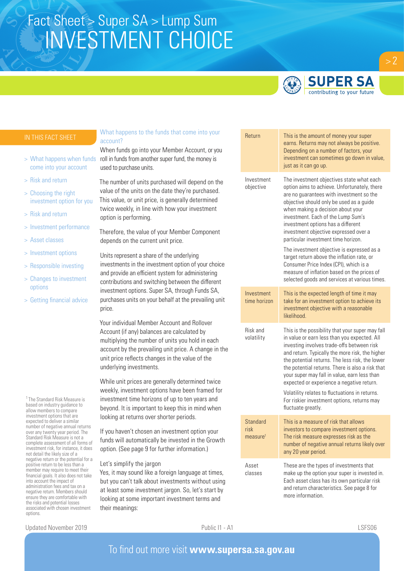

### **SUPER SA** contributing to your future

- come into your account
- > Risk and return
- > Choosing the right investment option for you
- > Risk and return
- > Investment performance
- > Asset classes
- > Investment options
- > Responsible investing
- > Changes to investment options
- > Getting financial advice

<sup>1</sup> The Standard Risk Measure is based on industry guidance to allow members to compare investment options that are expected to deliver a similar number of negative annual returns over any twenty year period. The Standard Risk Measure is not a complete assessment of all forms of investment risk, for instance, it does not detail the likely size of a negative return or the potential for a positive return to be less than a member may require to meet their financial goals. It also does not take into account the impact of administration fees and tax on a negative return. Members should ensure they are comfortable with the risks and potential losses associated with chosen investment options.

### What happens to the funds that come into your account?

When funds go into your Member Account, or you > What happens when funds roll in funds from another super fund, the money is used to purchase units.

> The number of units purchased will depend on the value of the units on the date they're purchased. This value, or unit price, is generally determined twice weekly, in line with how your investment option is performing.

Therefore, the value of your Member Component depends on the current unit price.

Units represent a share of the underlying investments in the investment option of your choice and provide an efficient system for administering contributions and switching between the different investment options. Super SA, through Funds SA, purchases units on your behalf at the prevailing unit price.

Your individual Member Account and Rollover Account (if any) balances are calculated by multiplying the number of units you hold in each account by the prevailing unit price. A change in the unit price reflects changes in the value of the underlying investments.

While unit prices are generally determined twice weekly, investment options have been framed for investment time horizons of up to ten years and beyond. It is important to keep this in mind when looking at returns over shorter periods.

If you haven't chosen an investment option your funds will automatically be invested in the Growth option. (See page 9 for further information.)

Let's simplify the jargon

Yes, it may sound like a foreign language at times, but you can't talk about investments without using at least some investment jargon. So, let's start by looking at some important investment terms and their meanings:

| Return                                   | This is the amount of money your super<br>earns. Returns may not always be positive.<br>Depending on a number of factors, your<br>investment can sometimes go down in value,<br>just as it can go up.                                                                                                                                                                                                 |  |  |  |  |  |
|------------------------------------------|-------------------------------------------------------------------------------------------------------------------------------------------------------------------------------------------------------------------------------------------------------------------------------------------------------------------------------------------------------------------------------------------------------|--|--|--|--|--|
| Investment<br>objective                  | The investment objectives state what each<br>option aims to achieve. Unfortunately, there<br>are no guarantees with investment so the<br>objective should only be used as a guide<br>when making a decision about your<br>investment. Each of the Lump Sum's<br>investment options has a different<br>investment objective expressed over a<br>particular investment time horizon.                    |  |  |  |  |  |
|                                          | The investment objective is expressed as a<br>target return above the inflation rate, or<br>Consumer Price Index (CPI), which is a<br>measure of inflation based on the prices of<br>selected goods and services at various times.                                                                                                                                                                    |  |  |  |  |  |
| Investment<br>time horizon               | This is the expected length of time it may<br>take for an investment option to achieve its<br>investment objective with a reasonable<br>likelihood.                                                                                                                                                                                                                                                   |  |  |  |  |  |
| Risk and<br>volatility                   | This is the possibility that your super may fall<br>in value or earn less than you expected. All<br>investing involves trade-offs between risk<br>and return. Typically the more risk, the higher<br>the potential returns. The less risk, the lower<br>the potential returns. There is also a risk that<br>your super may fall in value, earn less than<br>expected or experience a negative return. |  |  |  |  |  |
|                                          | Volatility relates to fluctuations in returns.<br>For riskier investment options, returns may<br>fluctuate greatly.                                                                                                                                                                                                                                                                                   |  |  |  |  |  |
| Standard<br>risk<br>measure <sup>1</sup> | This is a measure of risk that allows<br>investors to compare investment options.<br>The risk measure expresses risk as the<br>number of negative annual returns likely over<br>any 20 year period.                                                                                                                                                                                                   |  |  |  |  |  |
| Asset<br>classes                         | These are the types of investments that<br>make up the option your super is invested in.<br>Each asset class has its own particular risk<br>and return characteristics. See page 8 for<br>more information                                                                                                                                                                                            |  |  |  |  |  |

Updated November 2019 **Public I1 - A1** Public I1 - A1 **Public I1 - A1** LSFS06

 $> 2$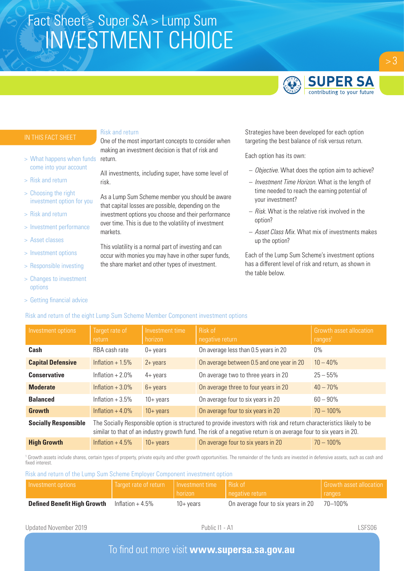

 $> 3$ 

- > What happens when funds come into your account
- > Risk and return
- > Choosing the right investment option for you
- > Risk and return
- > Investment performance
- > Asset classes
- > Investment options
- > Responsible investing
- > Changes to investment options
- > Getting financial advice

#### Risk and return

One of the most important concepts to consider when making an investment decision is that of risk and return.

All investments, including super, have some level of risk.

As a Lump Sum Scheme member you should be aware that capital losses are possible, depending on the investment options you choose and their performance over time. This is due to the volatility of investment markets.

This volatility is a normal part of investing and can occur with monies you may have in other super funds, the share market and other types of investment.

Strategies have been developed for each option targeting the best balance of risk versus return.

Each option has its own:

- *Objective.* What does the option aim to achieve?
- *Investment Time Horizon.* What is the length of time needed to reach the earning potential of your investment?
- *Risk.* What is the relative risk involved in the option?
- *Asset Class Mix.* What mix of investments makes up the option?

Each of the Lump Sum Scheme's investment options has a different level of risk and return, as shown in the table below.

| Investment options          | Target rate of<br>return                                                                                                                                                                                                                 | Investment time<br>horizon | Risk of<br>negative return                | Growth asset allocation<br>ranges <sup>1</sup> |  |  |  |
|-----------------------------|------------------------------------------------------------------------------------------------------------------------------------------------------------------------------------------------------------------------------------------|----------------------------|-------------------------------------------|------------------------------------------------|--|--|--|
| Cash                        | RBA cash rate                                                                                                                                                                                                                            | $0+$ years                 | On average less than 0.5 years in 20      | $0\%$                                          |  |  |  |
| <b>Capital Defensive</b>    | Inflation $+1.5%$                                                                                                                                                                                                                        | $2 + \gamma$ ears          | On average between 0.5 and one year in 20 | $10 - 40\%$                                    |  |  |  |
| <b>Conservative</b>         | Inflation $+2.0\%$                                                                                                                                                                                                                       | $4 + \gamma$ ears          | On average two to three years in 20       | $25 - 55%$                                     |  |  |  |
| <b>Moderate</b>             | Inflation $+3.0\%$                                                                                                                                                                                                                       | $6 + \gamma$ years         | On average three to four years in 20      | $40 - 70\%$                                    |  |  |  |
| <b>Balanced</b>             | Inflation $+3.5%$                                                                                                                                                                                                                        | $10 + \gamma$ ears         | On average four to six years in 20        | $60 - 90\%$                                    |  |  |  |
| <b>Growth</b>               | Inflation $+4.0\%$                                                                                                                                                                                                                       | $10 + \text{years}$        | On average four to six years in 20        | $70 - 100\%$                                   |  |  |  |
| <b>Socially Responsible</b> | The Socially Responsible option is structured to provide investors with risk and return characteristics likely to be<br>similar to that of an industry growth fund. The risk of a negative return is on average four to six years in 20. |                            |                                           |                                                |  |  |  |
| <b>High Growth</b>          | Inflation $+4.5%$                                                                                                                                                                                                                        | $10 + \gamma$ ears         | On average four to six years in 20        | $70 - 100\%$                                   |  |  |  |

<sup>1</sup> Growth assets include shares, certain types of property, private equity and other growth opportunities. The remainder of the funds are invested in defensive assets, such as cash and fixed interest.

Risk and return of the Lump Sum Scheme Employer Component investment option

Risk and return of the eight Lump Sum Scheme Member Component investment options

| I Investment options               | Target rate of return   Investment time | horizon   | Risk of<br>negative return         | <b>Growth asset allocation</b><br><b>Tranges</b> |
|------------------------------------|-----------------------------------------|-----------|------------------------------------|--------------------------------------------------|
| <b>Defined Benefit High Growth</b> | Inflation $+4.5\%$                      | 10+ vears | On average four to six years in 20 | 70–100%                                          |

Updated November 2019 **Public I1 - A1** Public I1 - A1 **Public I1 - A1** LSFS06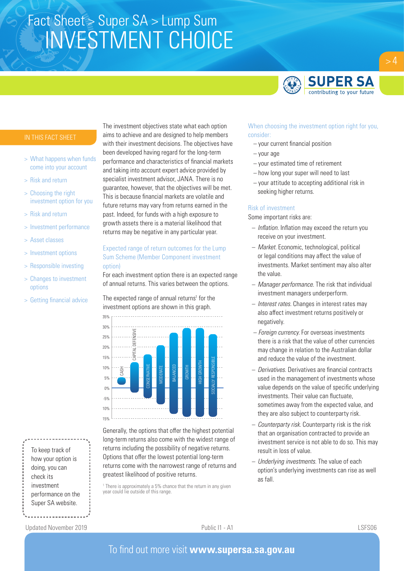

- > What happens when funds come into your account
- > Risk and return
- > Choosing the right investment option for you
- > Risk and return
- > Investment performance
- > Asset classes
- > Investment options
- > Responsible investing
- > Changes to investment options
- > Getting financial advice

To keep track of how your option is doing, you can check its investment performance on the Super SA website.

The investment objectives state what each option aims to achieve and are designed to help members with their investment decisions. The objectives have been developed having regard for the long-term performance and characteristics of financial markets and taking into account expert advice provided by specialist investment advisor, JANA. There is no guarantee, however, that the objectives will be met. This is because financial markets are volatile and future returns may vary from returns earned in the past. Indeed, for funds with a high exposure to growth assets there is a material likelihood that returns may be negative in any particular year.

### Expected range of return outcomes for the Lump Sum Scheme (Member Component investment option)

For each investment option there is an expected range of annual returns. This varies between the options.

The expected range of annual returns<sup>1</sup> for the investment options are shown in this graph.



Generally, the options that offer the highest potential long-term returns also come with the widest range of returns including the possibility of negative returns. Options that offer the lowest potential long-term returns come with the narrowest range of returns and greatest likelihood of positive returns.

<sup>1</sup> There is approximately a 5% chance that the return in any given year could lie outside of this range.

### When choosing the investment option right for you, consider:

- your current financial position
- your age
- your estimated time of retirement
- how long your super will need to last
- your attitude to accepting additional risk in seeking higher returns.

#### Risk of investment

Some important risks are:

- *Inflation.* Inflation may exceed the return you receive on your investment.
- *Market.* Economic, technological, political or legal conditions may affect the value of investments. Market sentiment may also alter the value.
- *Manager performance.* The risk that individual investment managers underperform.
- *Interest rates.* Changes in interest rates may also affect investment returns positively or negatively.
- *Foreign currency.* For overseas investments there is a risk that the value of other currencies may change in relation to the Australian dollar and reduce the value of the investment.
- *Derivatives.* Derivatives are financial contracts used in the management of investments whose value depends on the value of specific underlying investments. Their value can fluctuate, sometimes away from the expected value, and they are also subject to counterparty risk.
- *Counterparty risk.* Counterparty risk is the risk that an organisation contracted to provide an investment service is not able to do so. This may result in loss of value.
- *Underlying investments.* The value of each option's underlying investments can rise as well as fall.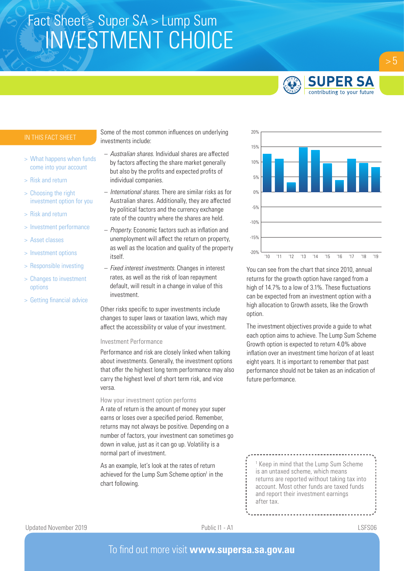

- > What happens when funds come into your account
- > Risk and return
- > Choosing the right investment option for you
- > Risk and return
- > Investment performance
- > Asset classes
- > Investment options
- > Responsible investing
- > Changes to investment options
- > Getting financial advice

Some of the most common influences on underlying investments include:

- *Australian shares.* Individual shares are affected by factors affecting the share market generally but also by the profits and expected profits of individual companies.
- *International shares.* There are similar risks as for Australian shares. Additionally, they are affected by political factors and the currency exchange rate of the country where the shares are held.
- *Property.* Economic factors such as inflation and unemployment will affect the return on property, as well as the location and quality of the property itself.
- *Fixed interest investments.* Changes in interest rates, as well as the risk of loan repayment default, will result in a change in value of this investment.

Other risks specific to super investments include changes to super laws or taxation laws, which may affect the accessibility or value of your investment.

#### Investment Performance

Performance and risk are closely linked when talking about investments. Generally, the investment options that offer the highest long term performance may also carry the highest level of short term risk, and vice versa.

#### How your investment option performs

A rate of return is the amount of money your super earns or loses over a specified period. Remember, returns may not always be positive. Depending on a number of factors, your investment can sometimes go down in value, just as it can go up. Volatility is a normal part of investment.

As an example, let's look at the rates of return achieved for the Lump Sum Scheme option<sup>1</sup> in the chart following.



You can see from the chart that since 2010, annual returns for the growth option have ranged from a high of 14.7% to a low of 3.1%. These fluctuations can be expected from an investment option with a high allocation to Growth assets, like the Growth option.

The investment objectives provide a guide to what each option aims to achieve. The Lump Sum Scheme Growth option is expected to return 4.0% above inflation over an investment time horizon of at least eight years. It is important to remember that past performance should not be taken as an indication of future performance.

<sup>1</sup> Keep in mind that the Lump Sum Scheme is an untaxed scheme, which means returns are reported without taking tax into account. Most other funds are taxed funds and report their investment earnings after tax.

 $> 5$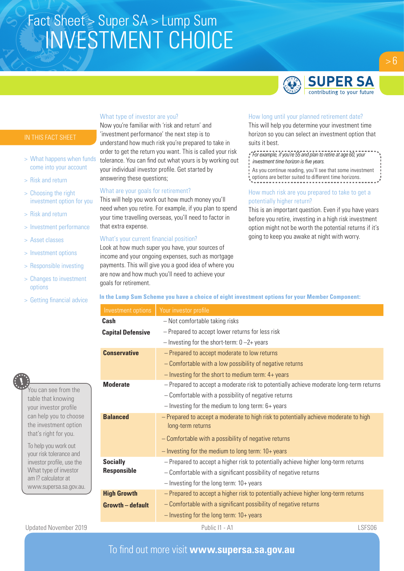

- > What happens when funds come into your account
- > Risk and return
- > Choosing the right investment option for you
- > Risk and return
- > Investment performance
- > Asset classes
- > Investment options
- > Responsible investing
- > Changes to investment options
- > Getting financial advice



You can see from the table that knowing your investor profile can help you to choose the investment option that's right for you.

To help you work out your risk tolerance and investor profile, use the What type of investor am I? calculator at www.supersa.sa.gov.au.

### What type of investor are you?

Now you're familiar with 'risk and return' and 'investment performance' the next step is to understand how much risk you're prepared to take in order to get the return you want. This is called your risk tolerance. You can find out what yours is by working out your individual investor profile. Get started by answering these questions;

#### What are your goals for retirement?

This will help you work out how much money you'll need when you retire. For example, if you plan to spend your time travelling overseas, you'll need to factor in that extra expense.

#### What's your current financial position?

Look at how much super you have, your sources of income and your ongoing expenses, such as mortgage payments. This will give you a good idea of where you are now and how much you'll need to achieve your goals for retirement.

#### How long until your planned retirement date?

This will help you determine your investment time horizon so you can select an investment option that suits it best.

*For example, if you're 55 and plan to retire at age 60, your investment time horizon is five years.*

As you continue reading, you'll see that some investment options are better suited to different time horizons.

### How much risk are you prepared to take to get a potentially higher return?

This is an important question. Even if you have years before you retire, investing in a high risk investment option might not be worth the potential returns if it's going to keep you awake at night with worry.

### **In the Lump Sum Scheme you have a choice of eight investment options for your Member Component:**

| Your investor profile                                                                                     |
|-----------------------------------------------------------------------------------------------------------|
| - Not comfortable taking risks                                                                            |
| - Prepared to accept lower returns for less risk                                                          |
| $-$ Investing for the short-term: $0 - 2 +$ years                                                         |
| - Prepared to accept moderate to low returns                                                              |
| - Comfortable with a low possibility of negative returns                                                  |
| $-$ Investing for the short to medium term: $4+$ years                                                    |
| - Prepared to accept a moderate risk to potentially achieve moderate long-term returns                    |
| - Comfortable with a possibility of negative returns                                                      |
| $-$ Investing for the medium to long term: $6+$ years                                                     |
| - Prepared to accept a moderate to high risk to potentially achieve moderate to high<br>long-term returns |
| - Comfortable with a possibility of negative returns                                                      |
| $-$ Investing for the medium to long term: $10+$ years                                                    |
| - Prepared to accept a higher risk to potentially achieve higher long-term returns                        |
| - Comfortable with a significant possibility of negative returns                                          |
| $-$ Investing for the long term: $10+$ years                                                              |
| - Prepared to accept a higher risk to potentially achieve higher long-term returns                        |
| - Comfortable with a significant possibility of negative returns                                          |
| $-$ Investing for the long term: $10+$ years                                                              |
|                                                                                                           |

Updated November 2019 **Public I1 - A1** Public I1 - A1 **Public I1 - A1** LSFS06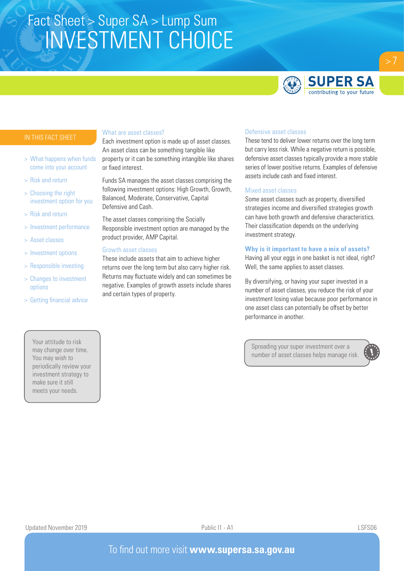

- > What happens when funds come into your account
- > Risk and return
- > Choosing the right investment option for you
- > Risk and return
- > Investment performance
- > Asset classes
- > Investment options
- > Responsible investing
- > Changes to investment options
- > Getting financial advice

### Your attitude to risk may change over time. You may wish to periodically review your investment strategy to make sure it still meets your needs.

#### What are asset classes?

Each investment option is made up of asset classes. An asset class can be something tangible like property or it can be something intangible like shares or fixed interest.

Funds SA manages the asset classes comprising the following investment options: High Growth, Growth, Balanced, Moderate, Conservative, Capital Defensive and Cash.

The asset classes comprising the Socially Responsible investment option are managed by the product provider, AMP Capital.

#### Growth asset classes

These include assets that aim to achieve higher returns over the long term but also carry higher risk. Returns may fluctuate widely and can sometimes be negative. Examples of growth assets include shares and certain types of property.

### Defensive asset classes

These tend to deliver lower returns over the long term but carry less risk. While a negative return is possible, defensive asset classes typically provide a more stable series of lower positive returns. Examples of defensive assets include cash and fixed interest.

#### Mixed asset classes

Some asset classes such as property, diversified strategies income and diversified strategies growth can have both growth and defensive characteristics. Their classification depends on the underlying investment strategy.

#### **Why is it important to have a mix of assets?**

Having all your eggs in one basket is not ideal, right? Well, the same applies to asset classes.

By diversifying, or having your super invested in a number of asset classes, you reduce the risk of your investment losing value because poor performance in one asset class can potentially be offset by better performance in another.

Spreading your super investment over a number of asset classes helps manage risk.

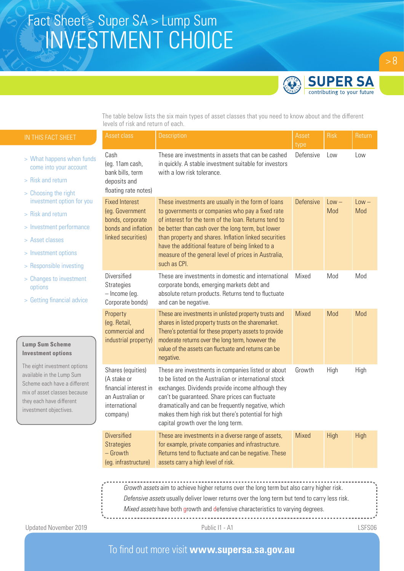## The table below lists the six main types of asset classes that  $\mathcal{A}$ INVESTMENT CHOICE Fact Sheet > Super SA > Lump Sum

different levels of risk and return of each.



The table below lists the six main types of asset classes that you need to know about and the different levels of risk and return of each.

| IN THIS FACT SHEET                                                                                                                                                              | Asset class                                                                                                | Description                                                                                                                                                                                                                                                                                                                                                                                               | Asset<br>type    | <b>Risk</b>    | Return         |
|---------------------------------------------------------------------------------------------------------------------------------------------------------------------------------|------------------------------------------------------------------------------------------------------------|-----------------------------------------------------------------------------------------------------------------------------------------------------------------------------------------------------------------------------------------------------------------------------------------------------------------------------------------------------------------------------------------------------------|------------------|----------------|----------------|
| > What happens when funds<br>come into your account<br>> Risk and return                                                                                                        | Cash<br>(eg. 11am cash,<br>bank bills, term<br>deposits and<br>floating rate notes)                        | These are investments in assets that can be cashed<br>in quickly. A stable investment suitable for investors<br>with a low risk tolerance.                                                                                                                                                                                                                                                                | Defensive        | Low            | Low            |
| > Choosing the right<br>investment option for you<br>> Risk and return<br>> Investment performance<br>> Asset classes<br>> Investment options<br>> Responsible investing        | <b>Fixed Interest</b><br>(eg. Government<br>bonds, corporate<br>bonds and inflation<br>linked securities)  | These investments are usually in the form of loans<br>to governments or companies who pay a fixed rate<br>of interest for the term of the loan. Returns tend to<br>be better than cash over the long term, but lower<br>than property and shares. Inflation linked securities<br>have the additional feature of being linked to a<br>measure of the general level of prices in Australia,<br>such as CPI. | <b>Defensive</b> | $Low -$<br>Mod | $Low -$<br>Mod |
| > Changes to investment<br>options<br>> Getting financial advice                                                                                                                | Diversified<br><b>Strategies</b><br>- Income (eg.<br>Corporate bonds)                                      | These are investments in domestic and international<br>corporate bonds, emerging markets debt and<br>absolute return products. Returns tend to fluctuate<br>and can be negative.                                                                                                                                                                                                                          | Mixed            | Mod            | Mod            |
| <b>Lump Sum Scheme</b><br><b>Investment options</b>                                                                                                                             | Property<br>(eg. Retail,<br>commercial and<br>industrial property)                                         | These are investments in unlisted property trusts and<br>shares in listed property trusts on the sharemarket.<br>There's potential for these property assets to provide<br>moderate returns over the long term, however the<br>value of the assets can fluctuate and returns can be<br>negative.                                                                                                          | Mixed            | Mod            | Mod            |
| The eight investment options<br>available in the Lump Sum<br>Scheme each have a different<br>mix of asset classes because<br>they each have different<br>investment objectives. | Shares (equities)<br>(A stake or<br>financial interest in<br>an Australian or<br>international<br>company) | These are investments in companies listed or about<br>to be listed on the Australian or international stock<br>exchanges. Dividends provide income although they<br>can't be guaranteed. Share prices can fluctuate<br>dramatically and can be frequently negative, which<br>makes them high risk but there's potential for high<br>capital growth over the long term.                                    | Growth           | High           | High           |
|                                                                                                                                                                                 | <b>Diversified</b><br><b>Strategies</b><br>$-$ Growth<br>(eg. infrastructure)                              | These are investments in a diverse range of assets,<br>for example, private companies and infrastructure.<br>Returns tend to fluctuate and can be negative. These<br>assets carry a high level of risk.                                                                                                                                                                                                   | Mixed            | High           | <b>High</b>    |
|                                                                                                                                                                                 |                                                                                                            | Growth assets aim to achieve higher returns over the long term but also carry higher risk.<br>Defensive assets usually deliver lower returns over the long term but tend to carry less risk.                                                                                                                                                                                                              |                  |                |                |

*Mixed assets* have both growth and defensive characteristics to varying degrees.

Updated November 2019 **CONTACT CONTROLLY A LOSE SETS A LOSE SETS A** LSFS06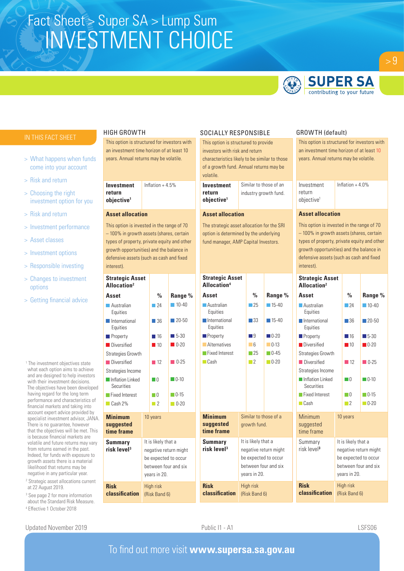

## **SUPER SA** contributing to your future

 $> 9$ 

- > What happens when funds come into your account
- > Risk and return
- > Choosing the right investment option for you
- > Risk and return
- > Investment performance
- > Asset classes
- > Investment options
- > Responsible investing
- > Changes to investment options
- > Getting financial advice

<sup>1</sup> The investment objectives state what each option aims to achieve and are designed to help investors with their investment decisions. The objectives have been developed having regard for the long term performance and characteristics of financial markets and taking into account expert advice provided by specialist investment advisor, JANA. There is no guarantee, however that the objectives will be met. This is because financial markets are volatile and future returns may vary from returns earned in the past. Indeed, for funds with exposure to growth assets there is a material likelihood that returns may be negative in any particular year. 2 Strategic asset allocations current

- at 22 August 2019.
- <sup>3</sup> See page 2 for more information about the Standard Risk Measure.
- 4 Effective 1 October 2018

#### HIGH GROWTH

This option is structured for investors with an investment time horizon of at least 10 years. Annual returns may be volatile.

**Investment return objective1** Inflation  $+4.5%$ 

#### **Asset allocation**

This option is invested in the range of 70 – 100% in growth assets (shares, certain types of property, private equity and other growth opportunities) and the balance in defensive assets (such as cash and fixed interest).

| <b>Strategic Asset</b><br>Allocation <sup>2</sup> |                                                                                                              |                                   |                                           | <b>Strategic Asset</b><br>Allocation <sup>4</sup> |                                     |                                                                       |                      |
|---------------------------------------------------|--------------------------------------------------------------------------------------------------------------|-----------------------------------|-------------------------------------------|---------------------------------------------------|-------------------------------------|-----------------------------------------------------------------------|----------------------|
| Asset                                             |                                                                                                              | $\frac{0}{0}$                     | Range %                                   | Asset                                             |                                     | $\frac{0}{0}$                                                         | Range <sup>o</sup>   |
| <b>Australian</b><br>Equities                     |                                                                                                              | $-24$                             | $10-40$                                   | <b>Australian</b><br>Equities                     | $\overline{25}$                     | $\blacksquare$ 15-40                                                  |                      |
| International<br>Equities                         |                                                                                                              | - 36                              | $\blacksquare$ 20-50                      | International<br>Equities                         |                                     | $\Box$ 33                                                             | $\blacksquare$ 15-40 |
| <b>Property</b>                                   |                                                                                                              | $\blacksquare$ 16                 | $\blacksquare$ 5-30                       | <b>Property</b>                                   |                                     | - 19                                                                  | $\Box$ 0-20          |
| Diversified                                       |                                                                                                              | $\blacksquare$ 10                 | $\blacksquare$ 0-20                       | <b>Alternatives</b>                               |                                     | $-6$                                                                  | $\Box$ 0-13          |
| <b>Strategies Growth</b>                          | Fixed Interest                                                                                               |                                   |                                           |                                                   | $\overline{25}$                     | $\Box$ 0-45                                                           |                      |
| Diversified                                       |                                                                                                              | $\Box$ 12                         | $\Box$ 0-25                               | $\Box$ Cash                                       | $\Box$ 2                            | $\Box$ 0-20                                                           |                      |
| Strategies Income                                 |                                                                                                              |                                   |                                           |                                                   |                                     |                                                                       |                      |
| Inflation Linked<br>Securities                    |                                                                                                              | $\Box$                            | $\Box$ 0-10                               |                                                   |                                     |                                                                       |                      |
| Fixed Interest                                    |                                                                                                              | $\Box$ 0                          | $\Box$ 0-15                               |                                                   |                                     |                                                                       |                      |
| $\Box$ Cash 2%                                    |                                                                                                              | $\Box$                            | $\Box$ 0-20                               |                                                   |                                     |                                                                       |                      |
| <b>Minimum</b><br>suggested<br>time frame         |                                                                                                              | 10 years                          |                                           | <b>Minimum</b><br>suggested<br>time frame         |                                     | Similar to those of a<br>growth fund.                                 |                      |
| Summary<br>risk level <sup>3</sup>                | It is likely that a<br>negative return might<br>be expected to occur<br>between four and six<br>years in 20. |                                   | <b>Summary</b><br>risk level <sup>3</sup> |                                                   | It is likely that a<br>years in 20. | negative return might<br>be expected to occur<br>between four and six |                      |
| <b>Risk</b><br>classification                     |                                                                                                              | <b>High risk</b><br>(Risk Band 6) |                                           | <b>Risk</b><br>classification                     | <b>High risk</b><br>(Risk Band 6)   |                                                                       |                      |

#### SOCIALLY RESPONSIBLE

This option is structured to provide investors with risk and return characteristics likely to be similar to those of a growth fund. Annual returns may be volatile.

**Investment return objective1** Similar to those of an industry growth fund.

#### **Asset allocation**

The strategic asset allocation for the SRI option is determined by the underlying fund manager, AMP Capital Investors.

### GROWTH (default)

This option is structured for investors with an investment time horizon of at least 10 years. Annual returns may be volatile.

| Investment             | Inflation $+4.0\%$ |
|------------------------|--------------------|
| return                 |                    |
| objective <sup>1</sup> |                    |

#### **Asset allocation**

This option is invested in the range of 70 – 100% in growth assets (shares, certain types of property, private equity and other growth opportunities) and the balance in defensive assets (such as cash and fixed interest).

|                                            | <b>Strategic Asset</b><br>Allocation <sup>2</sup> |                 |                                     |                                                                       |  |
|--------------------------------------------|---------------------------------------------------|-----------------|-------------------------------------|-----------------------------------------------------------------------|--|
| Range %                                    | Asset                                             |                 | $\frac{0}{n}$                       | Range %                                                               |  |
| $\blacksquare$ 15-40                       | <b>Australian</b><br>Equities                     | $\overline{24}$ |                                     |                                                                       |  |
| $\blacksquare$ 15-40                       | <b>International</b><br>Equities                  |                 | $\Box$ 36                           | $\blacksquare$ 20-50                                                  |  |
| $\blacksquare$ 0-20                        | <b>Property</b>                                   |                 | $\blacksquare$ 16                   | $\blacksquare$ 5-30                                                   |  |
| $\Box$ 0-13                                | <b>Diversified</b>                                |                 | $\blacksquare$ 10                   | $\blacksquare$ 0-20                                                   |  |
| $\Box$ 0-45                                | <b>Strategies Growth</b>                          |                 |                                     |                                                                       |  |
| $\Box$ 0-20                                | <b>Diversified</b>                                |                 | $\blacksquare$ 12                   | $\sqrt{0.25}$                                                         |  |
|                                            | Strategies Income                                 |                 |                                     |                                                                       |  |
|                                            | Inflation Linked<br>Securities                    | $\Box$ $0$      | $\Box$ 0-10                         |                                                                       |  |
|                                            | Fixed Interest                                    |                 | $\Box$ $0$                          | $\n   0-15\n$                                                         |  |
|                                            | $\Box$ Cash                                       |                 | $\Box$                              | $\Box$ 0-20                                                           |  |
| ose of a                                   | Minimum<br>suggested<br>time frame                |                 | 10 years                            |                                                                       |  |
| at a<br>urn might<br>to occur<br>r and six | Summary<br>risk level <sup>3</sup>                |                 | It is likely that a<br>years in 20. | negative return might<br>be expected to occur<br>between four and six |  |
|                                            | <b>Risk</b><br>classification                     |                 | <b>High risk</b><br>(Risk Band 6)   |                                                                       |  |

Updated November 2019 **Public I1 - A1** Public I1 - A1 **Public I1 - A1** LSFS06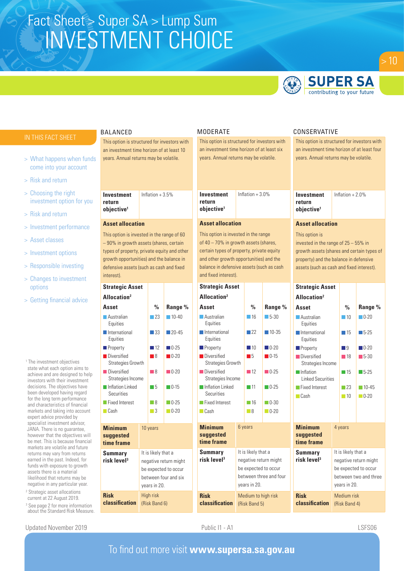

## **SUPER SA** contributing to your future

| IN THIS FACT SHEET                                                                                                                                                                                                                       | <b>BALANCED</b>                                                                      |                                        |                                                                       |                                                                               | <b>MODERATE</b>                                                                                              |                                                                                      |                                                                         |                                                        | CONSERVATIVE                                                                        |                                                                                       |                                                                        |  |
|------------------------------------------------------------------------------------------------------------------------------------------------------------------------------------------------------------------------------------------|--------------------------------------------------------------------------------------|----------------------------------------|-----------------------------------------------------------------------|-------------------------------------------------------------------------------|--------------------------------------------------------------------------------------------------------------|--------------------------------------------------------------------------------------|-------------------------------------------------------------------------|--------------------------------------------------------|-------------------------------------------------------------------------------------|---------------------------------------------------------------------------------------|------------------------------------------------------------------------|--|
|                                                                                                                                                                                                                                          | This option is structured for investors with                                         |                                        |                                                                       |                                                                               | This option is structured for investors with                                                                 |                                                                                      |                                                                         |                                                        | This option is structured for investors with                                        |                                                                                       |                                                                        |  |
| > What happens when funds<br>come into your account                                                                                                                                                                                      | an investment time horizon of at least 10                                            | years. Annual returns may be volatile. |                                                                       |                                                                               |                                                                                                              | an investment time horizon of at least six<br>years. Annual returns may be volatile. |                                                                         |                                                        |                                                                                     | an investment time horizon of at least four<br>years. Annual returns may be volatile. |                                                                        |  |
| > Risk and return                                                                                                                                                                                                                        |                                                                                      |                                        |                                                                       |                                                                               |                                                                                                              |                                                                                      |                                                                         |                                                        |                                                                                     |                                                                                       |                                                                        |  |
| > Choosing the right<br>investment option for you                                                                                                                                                                                        | <b>Investment</b><br>return                                                          | Inflation $+3.5%$                      |                                                                       | <b>Investment</b><br>return                                                   |                                                                                                              | Inflation $+3.0\%$                                                                   |                                                                         | <b>Investment</b><br>return                            |                                                                                     | Inflation $+2.0%$                                                                     |                                                                        |  |
| > Risk and return                                                                                                                                                                                                                        | objective <sup>1</sup>                                                               |                                        |                                                                       | objective <sup>1</sup>                                                        |                                                                                                              |                                                                                      |                                                                         | objective <sup>1</sup>                                 |                                                                                     |                                                                                       |                                                                        |  |
| > Investment performance                                                                                                                                                                                                                 | <b>Asset allocation</b>                                                              |                                        |                                                                       | <b>Asset allocation</b>                                                       |                                                                                                              |                                                                                      |                                                                         | <b>Asset allocation</b>                                |                                                                                     |                                                                                       |                                                                        |  |
| > Asset classes                                                                                                                                                                                                                          | This option is invested in the range of 60<br>-90% in growth assets (shares, certain |                                        |                                                                       | This option is invested in the range<br>of 40 - 70% in growth assets (shares, |                                                                                                              |                                                                                      |                                                                         | This option is<br>invested in the range of 25 - 55% in |                                                                                     |                                                                                       |                                                                        |  |
| > Investment options                                                                                                                                                                                                                     | types of property, private equity and other                                          |                                        |                                                                       | certain types of property, private equity                                     |                                                                                                              |                                                                                      |                                                                         | growth assets (shares and certain types of             |                                                                                     |                                                                                       |                                                                        |  |
| > Responsible investing                                                                                                                                                                                                                  | growth opportunities) and the balance in<br>defensive assets (such as cash and fixed |                                        |                                                                       |                                                                               | and other growth opportunities) and the<br>balance in defensive assets (such as cash<br>and fixed interest). |                                                                                      |                                                                         |                                                        | property) and the balance in defensive<br>assets (such as cash and fixed interest). |                                                                                       |                                                                        |  |
| > Changes to investment                                                                                                                                                                                                                  | interest).                                                                           |                                        |                                                                       |                                                                               |                                                                                                              |                                                                                      |                                                                         |                                                        |                                                                                     |                                                                                       |                                                                        |  |
| options                                                                                                                                                                                                                                  | <b>Strategic Asset</b>                                                               |                                        |                                                                       | <b>Strategic Asset</b>                                                        |                                                                                                              |                                                                                      |                                                                         | <b>Strategic Asset</b>                                 |                                                                                     |                                                                                       |                                                                        |  |
| > Getting financial advice                                                                                                                                                                                                               | Allocation <sup>2</sup>                                                              |                                        |                                                                       | Allocation <sup>2</sup>                                                       |                                                                                                              |                                                                                      |                                                                         | Allocation <sup>2</sup>                                |                                                                                     |                                                                                       |                                                                        |  |
|                                                                                                                                                                                                                                          | Asset                                                                                | $\frac{0}{0}$                          | Range %                                                               | Asset                                                                         |                                                                                                              | $\frac{0}{0}$                                                                        | Range %                                                                 | Asset                                                  |                                                                                     | $\frac{0}{0}$                                                                         | Range %                                                                |  |
|                                                                                                                                                                                                                                          | Australian<br>Equities                                                               | $\Box$ 23                              | $10-40$                                                               | <b>Australian</b><br>Equities                                                 |                                                                                                              | $\blacksquare$ 16                                                                    | $\Box$ 5-30                                                             | <b>Australian</b><br>Equities                          |                                                                                     | $\Box$ 10                                                                             | $\blacksquare$ 0-20                                                    |  |
|                                                                                                                                                                                                                                          | International<br>Equities                                                            | $\Box$ 33                              | $\blacksquare$ 20-45                                                  | International<br>Equities                                                     |                                                                                                              | $\Box$ 22                                                                            | $\blacksquare$ 10-35                                                    | International<br>Equities                              |                                                                                     | $\blacksquare$ 15                                                                     | $5-25$                                                                 |  |
|                                                                                                                                                                                                                                          | <b>Property</b>                                                                      | $\blacksquare$ 12                      | $\blacksquare$ 0-25                                                   | <b>Property</b>                                                               |                                                                                                              | $\blacksquare$ 10                                                                    | $\Box$ 0-20                                                             | <b>Property</b>                                        |                                                                                     | $\Box$ 9                                                                              | $\blacksquare$ 0-20                                                    |  |
| <sup>1</sup> The investment objectives                                                                                                                                                                                                   | <b>Diversified</b><br>Strategies Growth                                              | $\blacksquare$ 8                       | $\blacksquare$ 0-20                                                   | Diversified<br>Strategies Growth                                              |                                                                                                              | $\blacksquare$<br>$\blacksquare$ 0-15                                                |                                                                         | <b>Diversified</b><br>Strategies Income                |                                                                                     | $\blacksquare$ 18                                                                     | $\blacksquare$ 5-30                                                    |  |
| state what each option aims to<br>achieve and are designed to help<br>investors with their investment                                                                                                                                    | Diversified<br>Strategies Income                                                     | $\Box$ 8                               | $\Box$ 0-20                                                           | Diversified<br>Strategies Income                                              |                                                                                                              | $\Box$ 12                                                                            | $\Box$ 0-25                                                             | Inflation<br><b>Linked Securities</b>                  |                                                                                     | $\blacksquare$ 15                                                                     | $\blacksquare$ 5-25                                                    |  |
| decisions. The objectives have<br>been developed having regard                                                                                                                                                                           | Inflation Linked<br><b>Securities</b>                                                | $\blacksquare$ 5                       | $\Box$ 0-15                                                           | Inflation Linked<br>Securities                                                |                                                                                                              | $\blacksquare$ 11                                                                    | $\Box$ 0-25                                                             | Fixed Interest                                         |                                                                                     | $\Box$ 23                                                                             | $\blacksquare$ 10-45                                                   |  |
| for the long term performance<br>and characteristics of financial                                                                                                                                                                        | Fixed Interest                                                                       | $\Box$ 8                               | $\Box$ 0-25                                                           | Fixed Interest                                                                |                                                                                                              | $\Box$ 16                                                                            | $\Box$ 0-30                                                             | $\Box$ Cash                                            |                                                                                     | $\Box$ 10                                                                             | $\Box$ 0-20                                                            |  |
| markets and taking into account<br>expert advice provided by                                                                                                                                                                             | $\Box$ Cash                                                                          | $\Box$ 3                               | $\Box$ 0-20                                                           | <b>Cash</b>                                                                   |                                                                                                              | $\blacksquare$                                                                       | $\Box$ 0-20                                                             |                                                        |                                                                                     |                                                                                       |                                                                        |  |
| specialist investment advisor,<br>JANA. There is no guarantee,<br>however that the objectives will<br>be met. This is because financial                                                                                                  | <b>Minimum</b><br>suggested<br>time frame                                            | 10 years                               |                                                                       | <b>Minimum</b><br>suggested<br>time frame                                     | 6 years                                                                                                      |                                                                                      |                                                                         | <b>Minimum</b><br>suggested<br>time frame              | 4 years                                                                             |                                                                                       |                                                                        |  |
| markets are volatile and future<br>returns may vary from returns<br>earned in the past. Indeed, for<br>funds with exposure to growth<br>assets there is a material<br>likelihood that returns may be<br>negative in any particular year. | <b>Summary</b><br>risk level <sup>3</sup>                                            | It is likely that a<br>years in 20.    | negative return might<br>be expected to occur<br>between four and six | <b>Summary</b><br>risk level <sup>3</sup>                                     |                                                                                                              | It is likely that a<br>years in 20.                                                  | negative return might<br>be expected to occur<br>between three and four | <b>Summary</b><br>risk level <sup>3</sup>              |                                                                                     | It is likely that a<br>years in 20.                                                   | negative return might<br>be expected to occur<br>between two and three |  |
| <sup>2</sup> Strategic asset allocations<br>current at 22 August 2019.<br><sup>3</sup> See page 2 for more information<br>about the Standard Risk Measure.                                                                               | <b>Risk</b><br>classification                                                        | High risk<br>(Risk Band 6)             |                                                                       | <b>Risk</b><br>classification                                                 | Medium to high risk<br>(Risk Band 5)                                                                         |                                                                                      |                                                                         | <b>Risk</b><br>classification                          |                                                                                     | Medium risk<br>(Risk Band 4)                                                          |                                                                        |  |

Updated November 2019 **CONTACT CONTROLLY A LOSE SETS A LOSE SETS A** LSFS06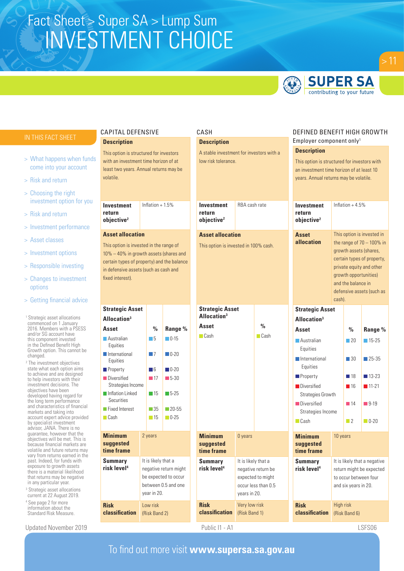

## **SUPER SA** contributing to your future

- > What happens when funds come into your account
- > Risk and return
- > Choosing the right investment option for you
- > Risk and return
- > Investment performance
- > Asset classes
- > Investment options
- > Responsible investing
- > Changes to investment options
- > Getting financial advice

<sup>1</sup> Strategic asset allocations commenced on 1 January 2016. Members with a PSESS and/or SG account have this component invested in the Defined Benefit High Growth option. This cannot be changed.

2 The investment objectives state what each option aims to achieve and are designed to help investors with their investment decisions. The objectives have been developed having regard for the long term performance and characteristics of financial markets and taking into account expert advice provided by specialist investment advisor, JANA. There is no guarantee, however that the objectives will be met. This is because financial markets are volatile and future returns may vary from returns earned in the past. Indeed, for funds with exposure to growth assets there is a material likelihood that returns may be negative in any particular year.

- 3 Strategic asset allocations current at 22 August 2019.
- 4 See page 2 for more information about the Standard Risk Measure.

Updated November 2019 **Public I1 - A1** Public I1 - A1 **Public I1 - A1** LSFS06

### CAPITAL DEFENSIVE **Description**

This option is structured for investors with an investment time horizon of at least two years. Annual returns may be volatile.

**Investment return objective2** Inflation  $+1.5%$ 

### **Asset allocation**

This option is invested in the range of 10% – 40% in growth assets (shares and certain types of property) and the balance in defensive assets (such as cash and fixed interest).

| <b>Strategic Asset</b>                    |                     |                       |                      |
|-------------------------------------------|---------------------|-----------------------|----------------------|
| Allocation <sup>3</sup>                   |                     |                       |                      |
| Asset                                     | $\frac{0}{0}$       | Range %               |                      |
| <b>Australian</b><br>Equities             | - 5                 | $\Box$ 0-15           |                      |
| <b>International</b><br>Equities          |                     | - 7                   | $\Box 0 - 20$        |
| <b>Property</b>                           | - 16                | $\blacksquare$ 0-20   |                      |
| <b>Diversified</b><br>Strategies Income   | $\blacksquare$ 17   | $\Box$ 5-30           |                      |
| Inflation Linked<br>Securities            |                     | $\blacksquare$ 15     | $\Box$ 5-25          |
| <b>Fixed Interest</b>                     |                     | - 35                  | $\blacksquare$ 20-55 |
| $\Box$ Cash                               | $\Box$ 15           | $\Box$ 0-25           |                      |
| <b>Minimum</b><br>suggested<br>time frame |                     | 2 years               |                      |
| Summary<br>risk level <sup>4</sup>        | It is likely that a | negative return might |                      |

be expected to occur between 0.5 and one

year in 20.

Low risk (Risk Band 2)

**Risk** 

**classification**

|                                                            | CASH                                                                                                  |  |                                                                                                                                                                               |                                                                            |                                                                                                                                                                          |                                                                                     | DEFINED BENEFIT HIGH GROWTH                                                                                                                                                                          |  |  |  |
|------------------------------------------------------------|-------------------------------------------------------------------------------------------------------|--|-------------------------------------------------------------------------------------------------------------------------------------------------------------------------------|----------------------------------------------------------------------------|--------------------------------------------------------------------------------------------------------------------------------------------------------------------------|-------------------------------------------------------------------------------------|------------------------------------------------------------------------------------------------------------------------------------------------------------------------------------------------------|--|--|--|
| <b>Description</b>                                         |                                                                                                       |  |                                                                                                                                                                               |                                                                            | Employer component only <sup>1</sup><br><b>Description</b>                                                                                                               |                                                                                     |                                                                                                                                                                                                      |  |  |  |
|                                                            | A stable investment for investors with a<br>low risk tolerance.                                       |  |                                                                                                                                                                               |                                                                            |                                                                                                                                                                          | an investment time horizon of at least 10<br>years. Annual returns may be volatile. | This option is structured for investors with                                                                                                                                                         |  |  |  |
| <b>Investment</b><br>return<br>objective <sup>2</sup>      | RBA cash rate                                                                                         |  |                                                                                                                                                                               | Inflation $+4.5%$<br><b>Investment</b><br>return<br>objective <sup>2</sup> |                                                                                                                                                                          |                                                                                     |                                                                                                                                                                                                      |  |  |  |
|                                                            | <b>Asset allocation</b><br>This option is invested in 100% cash.                                      |  |                                                                                                                                                                               | allocation                                                                 | cash).                                                                                                                                                                   | and the balance in                                                                  | This option is invested in<br>the range of $70 - 100\%$ in<br>growth assets (shares,<br>certain types of property,<br>private equity and other<br>growth opportunities)<br>defensive assets (such as |  |  |  |
| <b>Strategic Asset</b><br>Allocation <sup>3</sup><br>Asset |                                                                                                       |  | <b>Strategic Asset</b><br>Allocation <sup>3</sup>                                                                                                                             |                                                                            |                                                                                                                                                                          | $\frac{0}{0}$                                                                       | Range %                                                                                                                                                                                              |  |  |  |
| <b>■</b> Cash                                              | $\frac{0}{0}$<br>$\Box$ Cash                                                                          |  | Asset<br>Australian<br>Equities<br>International<br>Equities<br><b>Property</b><br><b>Diversified</b><br>Strategies Growth<br>Diversified<br>Strategies Income<br>$\Box$ Cash |                                                                            | $\Box$ 20<br>$15-25$<br>$\Box$ 30<br>$\Box$ 25-35<br>$13-23$<br>$\Box$ 18<br>$11-21$<br>$\blacksquare$ 16<br>$\Box$ 9-19<br>$\blacksquare$ 14<br>$\Box$ 2<br>$\Box$ 0-20 |                                                                                     |                                                                                                                                                                                                      |  |  |  |
| <b>Minimum</b><br>suggested<br>time frame                  | 0 years                                                                                               |  | <b>Minimum</b><br>suggested<br>time frame                                                                                                                                     |                                                                            | 10 years                                                                                                                                                                 |                                                                                     |                                                                                                                                                                                                      |  |  |  |
| <b>Summary</b><br>risk level <sup>4</sup>                  | It is likely that a<br>negative return be<br>expected to might<br>occur less than 0.5<br>vears in 20. |  | <b>Summary</b><br>risk level <sup>4</sup>                                                                                                                                     |                                                                            |                                                                                                                                                                          | and six years in 20.                                                                | It is likely that a negative<br>return might be expected<br>to occur between four                                                                                                                    |  |  |  |
| <b>Risk</b><br>classification                              | Very low risk<br>(Risk Band 1)                                                                        |  | <b>Risk</b><br>classification                                                                                                                                                 |                                                                            | High risk                                                                                                                                                                | (Risk Band 6)                                                                       |                                                                                                                                                                                                      |  |  |  |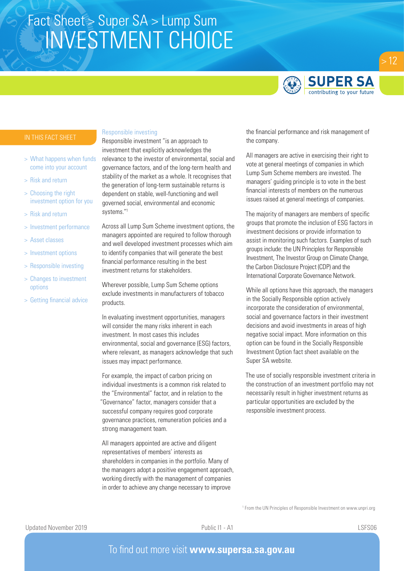

- > What happens when funds come into your account
- > Risk and return
- > Choosing the right investment option for you
- > Risk and return
- > Investment performance
- > Asset classes
- > Investment options
- > Responsible investing
- > Changes to investment options
- > Getting financial advice

#### Responsible investing

Responsible investment "is an approach to investment that explicitly acknowledges the relevance to the investor of environmental, social and governance factors, and of the long-term health and stability of the market as a whole. It recognises that the generation of long-term sustainable returns is dependent on stable, well-functioning and well governed social, environmental and economic systems."1

Across all Lump Sum Scheme investment options, the managers appointed are required to follow thorough and well developed investment processes which aim to identify companies that will generate the best financial performance resulting in the best investment returns for stakeholders.

Wherever possible, Lump Sum Scheme options exclude investments in manufacturers of tobacco products.

In evaluating investment opportunities, managers will consider the many risks inherent in each investment. In most cases this includes environmental, social and governance (ESG) factors, where relevant, as managers acknowledge that such issues may impact performance.

For example, the impact of carbon pricing on individual investments is a common risk related to the "Environmental" factor, and in relation to the "Governance" factor, managers consider that a successful company requires good corporate governance practices, remuneration policies and a strong management team.

All managers appointed are active and diligent representatives of members' interests as shareholders in companies in the portfolio. Many of the managers adopt a positive engagement approach, working directly with the management of companies in order to achieve any change necessary to improve

the financial performance and risk management of the company.

All managers are active in exercising their right to vote at general meetings of companies in which Lump Sum Scheme members are invested. The managers' guiding principle is to vote in the best financial interests of members on the numerous issues raised at general meetings of companies.

The majority of managers are members of specific groups that promote the inclusion of ESG factors in investment decisions or provide information to assist in monitoring such factors. Examples of such groups include: the UN Principles for Responsible Investment, The Investor Group on Climate Change, the Carbon Disclosure Project (CDP) and the International Corporate Governance Network.

While all options have this approach, the managers in the Socially Responsible option actively incorporate the consideration of environmental, social and governance factors in their investment decisions and avoid investments in areas of high negative social impact. More information on this option can be found in the Socially Responsible Investment Option fact sheet available on the Super SA website.

The use of socially responsible investment criteria in the construction of an investment portfolio may not necessarily result in higher investment returns as particular opportunities are excluded by the responsible investment process.

<sup>1</sup> From the UN Principles of Responsible Investment on www.unpri.org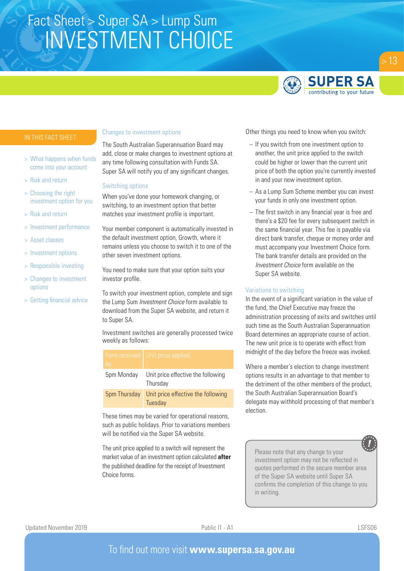

- > What happens when funds come into your account
- > Risk and return
- > Choosing the right investment option for you
- > Risk and return
- > Investment performance
- > Asset classes
- > Investment options
- > Responsible investing
- > Changes to investment options
- > Getting financial advice

#### Changes to investment options

The South Australian Superannuation Board may add, close or make changes to investment options at any time following consultation with Funds SA. Super SA will notify you of any significant changes.

#### Switching options

When you've done your homework changing, or switching, to an investment option that better matches your investment profile is important.

Your member component is automatically invested in the default investment option, Growth, where it remains unless you choose to switch it to one of the other seven investment options.

You need to make sure that your option suits your investor profile.

To switch your investment option, complete and sign the Lump Sum *Investment Choice* form available to download from the Super SA website, and return it to Super SA.

Investment switches are generally processed twice weekly as follows:

| by:          | Form received   Unit price applied:            |
|--------------|------------------------------------------------|
| 5pm Monday   | Unit price effective the following<br>Thursday |
| 5pm Thursday | Unit price effective the following<br>Tuesday  |

These times may be varied for operational reasons, such as public holidays. Prior to variations members will be notified via the Super SA website.

The unit price applied to a switch will represent the market value of an investment option calculated **after** the published deadline for the receipt of Investment Choice forms.

Other things you need to know when you switch:

- If you switch from one investment option to another, the unit price applied to the switch could be higher or lower than the current unit price of both the option you're currently invested in and your new investment option.
- As a Lump Sum Scheme member you can invest your funds in only one investment option.
- The first switch in any financial year is free and there's a \$20 fee for every subsequent switch in the same financial year. This fee is payable via direct bank transfer, cheque or money order and must accompany your Investment Choice form. The bank transfer details are provided on the *Investment Choice* form available on the Super SA website.

### Variations to switching

In the event of a significant variation in the value of the fund, the Chief Executive may freeze the administration processing of exits and switches until such time as the South Australian Superannuation Board determines an appropriate course of action. The new unit price is to operate with effect from midnight of the day before the freeze was invoked.

Where a member's election to change investment options results in an advantage to that member to the detriment of the other members of the product, the South Australian Superannuation Board's delegate may withhold processing of that member's election.

Please note that any change to your investment option may not be reflected in quotes performed in the secure member area of the Super SA website until Super SA confirms the completion of this change to you in writing.